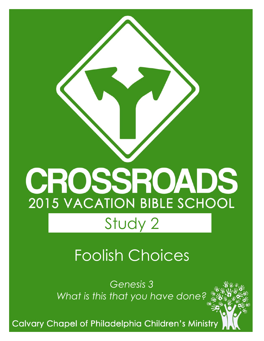# CROSSROADS **2015 VACATION BIBLE SCHOOL** Study 2

# Foolish Choices

*Genesis 3 What is this that you have done?*

**Calvary Chapel of Philadelphia Children's Ministry**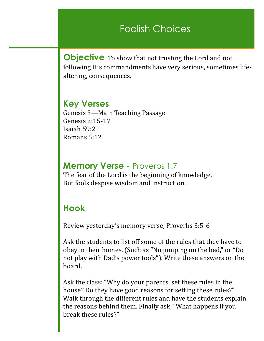### Foolish Choices

**Objective** To show that not trusting the Lord and not following His commandments have very serious, sometimes lifealtering, consequences.

**Key Verses** Genesis 3—Main Teaching Passage Genesis 2:15-17 Isaiah 59:2 Romans 5:12

#### **Memory Verse -** Proverbs 1:7

The fear of the Lord is the beginning of knowledge, But fools despise wisdom and instruction.

#### **Hook**

Review yesterday's memory verse, Proverbs 3:5-6

Ask the students to list off some of the rules that they have to obey in their homes. (Such as "No jumping on the bed," or "Do not play with Dad's power tools"). Write these answers on the board.

Ask the class: "Why do your parents set these rules in the house? Do they have good reasons for setting these rules?" Walk through the different rules and have the students explain the reasons behind them. Finally ask, "What happens if you break these rules?"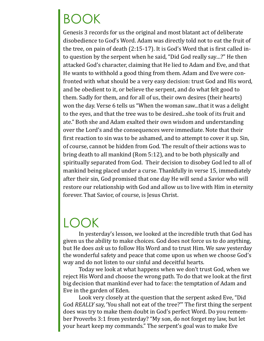# BOOK

Genesis 3 records for us the original and most blatant act of deliberate disobedience to God's Word. Adam was directly told not to eat the fruit of the tree, on pain of death (2:15-17). It is God's Word that is first called into question by the serpent when he said, "Did God really say…?" He then attacked God's character, claiming that He lied to Adam and Eve, and that He wants to withhold a good thing from them. Adam and Eve were confronted with what should be a very easy decision: trust God and His word, and be obedient to it, or believe the serpent, and do what felt good to them. Sadly for them, and for all of us, their own desires (their hearts) won the day. Verse 6 tells us "When the woman saw...that it was a delight to the eyes, and that the tree was to be desired...she took of its fruit and ate." Both she and Adam exalted their own wisdom and understanding over the Lord's and the consequences were immediate. Note that their first reaction to sin was to be ashamed, and to attempt to cover it up. Sin, of course, cannot be hidden from God. The result of their actions was to bring death to all mankind (Rom 5:12), and to be both physically and spiritually separated from God. Their decision to disobey God led to all of mankind being placed under a curse. Thankfully in verse 15, immediately after their sin, God promised that one day He will send a Savior who will restore our relationship with God and allow us to live with Him in eternity forever. That Savior, of course, is Jesus Christ.

## LOOK

In yesterday's lesson, we looked at the incredible truth that God has given us the ability to make choices. God does not force us to do anything, but He does *ask* us to follow His Word and to trust Him. We saw yesterday the wonderful safety and peace that come upon us when we choose God's way and do not listen to our sinful and deceitful hearts.

Today we look at what happens when we don't trust God, when we reject His Word and choose the wrong path. To do that we look at the first big decision that mankind ever had to face: the temptation of Adam and Eve in the garden of Eden.

Look very closely at the question that the serpent asked Eve, "Did God *REALLY* say, 'You shall not eat of the tree?'" The first thing the serpent does was try to make them doubt in God's perfect Word. Do you remember Proverbs 3:1 from yesterday? "My son, do not forget my law, but let your heart keep my commands." The serpent's goal was to make Eve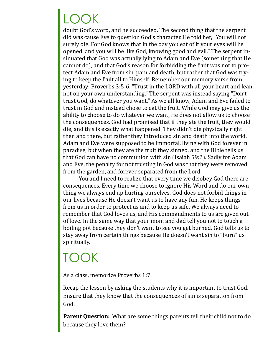# LOOK

doubt God's word, and he succeeded. The second thing that the serpent did was cause Eve to question God's character. He told her, "You will not surely die. For God knows that in the day you eat of it your eyes will be opened, and you will be like God, knowing good and evil." The serpent insinuated that God was actually lying to Adam and Eve (something that He cannot do), and that God's reason for forbidding the fruit was not to protect Adam and Eve from sin, pain and death, but rather that God was trying to keep the fruit all to Himself. Remember our memory verse from yesterday: Proverbs 3:5-6, "Trust in the LORD with all your heart and lean not on your own understanding." The serpent was instead saying "Don't trust God, do whatever you want." As we all know, Adam and Eve failed to trust in God and instead chose to eat the fruit. While God may give us the ability to choose to do whatever we want, He does not allow us to choose the consequences. God had promised that if they ate the fruit, they would die, and this is exactly what happened. They didn't die physically right then and there, but rather they introduced sin and death into the world. Adam and Eve were supposed to be immortal, living with God forever in paradise, but when they ate the fruit they sinned, and the Bible tells us that God can have no communion with sin (Isaiah 59:2). Sadly for Adam and Eve, the penalty for not trusting in God was that they were removed from the garden, and forever separated from the Lord.

You and I need to realize that every time we disobey God there are consequences. Every time we choose to ignore His Word and do our own thing we always end up hurting ourselves. God does not forbid things in our lives because He doesn't want us to have any fun. He keeps things from us in order to protect us and to keep us safe. We always need to remember that God loves us, and His commandments to us are given out of love. In the same way that your mom and dad tell you not to touch a boiling pot because they don't want to see you get burned, God tells us to stay away from certain things because He doesn't want sin to "burn" us spiritually.

## TOOK

As a class, memorize Proverbs 1:7

Recap the lesson by asking the students why it is important to trust God. Ensure that they know that the consequences of sin is separation from God.

**Parent Question:** What are some things parents tell their child not to do because they love them?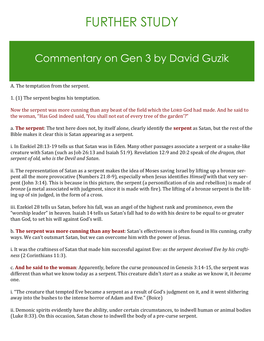# FURTHER STUDY

## Commentary on Gen 3 by David Guzik

A. The temptation from the serpent.

1. (1) The serpent begins his temptation.

Now the serpent was more cunning than any beast of the field which the Lorp God had made. And he said to the woman, "Has God indeed said, 'You shall not eat of every tree of the garden'?"

a. **The serpent**: The text here does not, by itself alone, clearly identify the **serpent** as Satan, but the rest of the Bible makes it clear this is Satan appearing as a serpent.

i. In Ezekiel 28:13-19 tells us that Satan was in Eden. Many other passages associate a serpent or a snake-like creature with Satan (such as Job 26:13 and Isaiah 51:9). Revelation 12:9 and 20:2 speak of *the dragon, that serpent of old, who is the Devil and Satan*.

ii. The representation of Satan as a serpent makes the idea of Moses saving Israel by lifting up a bronze serpent all the more provocative (Numbers 21:8-9), especially when Jesus identifies *Himself* with that very serpent (John 3:14). This is because in this picture, the serpent (a personification of sin and rebellion) is made of *bronze* (a metal associated with judgment, since it is made with fire). The lifting of a bronze serpent is the lifting up of sin judged, in the form of a cross.

iii. Ezekiel 28 tells us Satan, before his fall, was an angel of the highest rank and prominence, even the "worship leader" in heaven. Isaiah 14 tells us Satan's fall had to do with his desire to be equal to or greater than God, to set his will against God's will.

b. **The serpent was more cunning than any beast**: Satan's effectiveness is often found in His cunning, crafty ways. We can't outsmart Satan, but we can overcome him with the power of Jesus.

i. It was the craftiness of Satan that made him successful against Eve: *as the serpent deceived Eve by his craftiness* (2 Corinthians 11:3).

c. **And he said to the woman**: Apparently, before the curse pronounced in Genesis 3:14-15, the serpent was different than what we know today as a serpent. This creature didn't *start* as a snake as we know it, it *became* one.

i. "The creature that tempted Eve became a serpent as a result of God's judgment on it, and it went slithering away into the bushes to the intense horror of Adam and Eve." (Boice)

ii. Demonic spirits evidently have the ability, under certain circumstances, to indwell human or animal bodies (Luke 8:33). On this occasion, Satan chose to indwell the body of a pre-curse serpent.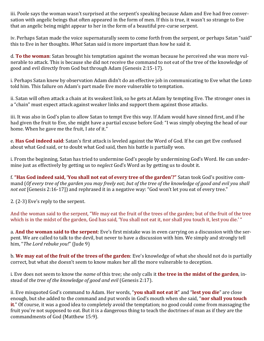iii. Poole says the woman wasn't surprised at the serpent's speaking because Adam and Eve had free conversation with angelic beings that often appeared in the form of men. If this is true, it wasn't so strange to Eve that an angelic being might appear to her in the form of a beautiful pre-curse serpent.

iv. Perhaps Satan made the voice supernaturally seem to come forth from the serpent, or perhaps Satan "said" this to Eve in her thoughts. *What* Satan said is more important than *how* he said it.

d. **To the woman**: Satan brought his temptation against the woman because he perceived she was more vulnerable to attack. This is because she did not receive the command to not eat of the tree of the knowledge of good and evil directly from God but through Adam (Genesis 2:15-17).

i. Perhaps Satan knew by observation Adam didn't do an effective job in communicating to Eve what the LORD told him. This failure on Adam's part made Eve more vulnerable to temptation.

ii. Satan will often attack a chain at its weakest link, so he gets at Adam by tempting Eve. The stronger ones in a "chain" must expect attack against weaker links and support them against those attacks.

iii. It was also in God's plan to allow Satan to tempt Eve this way. If Adam would have sinned first, and if he had given the fruit to Eve, she might have a partial excuse before God: "I was simply obeying the head of our home. When he gave me the fruit, I ate of it."

e. **Has God indeed said**: Satan's first attack is leveled against the Word of God. If he can get Eve confused about what God said, or to doubt what God said, then his battle is partially won.

i. From the beginning, Satan has tried to undermine God's people by undermining God's Word. He can undermine just as effectively by getting us to *neglect* God's Word as by getting us to doubt it.

f. **"Has God indeed said, 'You shall not eat of every tree of the garden'?"** Satan took God's positive command (*Of every tree of the garden you may freely eat; but of the tree of the knowledge of good and evil you shall not eat* [Genesis 2:16-17]) and rephrased it in a negative way: "God won't let you eat of every tree."

2. (2-3) Eve's reply to the serpent.

And the woman said to the serpent, "We may eat the fruit of the trees of the garden; but of the fruit of the tree which is in the midst of the garden, God has said, 'You shall not eat it, nor shall you touch it, lest you die.' "

a. **And the woman said to the serpent**: Eve's first mistake was in even carrying on a discussion with the serpent. We are called to talk to the devil, but never to have a discussion with him. We simply and strongly tell him, "*The Lord rebuke you!*" (Jude 9)

b. **We may eat of the fruit of the trees of the garden**: Eve's knowledge of what she should not do is partially correct, but what she doesn't seem to know makes her all the more vulnerable to deception.

i. Eve does not seem to know the *name* of this tree; she only calls it **the tree in the midst of the garden**, instead of *the tree of the knowledge of good and evil* (Genesis 2:17).

ii. Eve misquoted God's command to Adam. Her words, "**you shall not eat it**" and "**lest you die**" are close enough, but she added to the command and put words in God's mouth when she said, "**nor shall you touch it**." Of course, it was a good idea to completely avoid the temptation; no good could come from massaging the fruit you're not supposed to eat. But it is a dangerous thing to teach the doctrines of man as if they are the commandments of God (Matthew 15:9).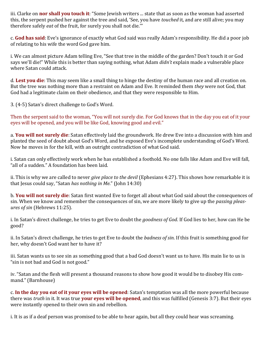iii. Clarke on **nor shall you touch it**: "Some Jewish writers ... state that as soon as the woman had asserted this, the serpent pushed her against the tree and said, 'See, you have *touched* it, and are still alive; you may therefore safely *eat* of the fruit, for surely you shall not die.'"

c. **God has said**: Eve's ignorance of exactly what God said was really Adam's responsibility. He did a poor job of relating to his wife the word God gave him.

i. We can almost picture Adam telling Eve, "See that tree in the middle of the garden? Don't touch it or God says we'll die!" While this is better than saying nothing, what Adam *didn't* explain made a vulnerable place where Satan could attack.

d. **Lest you die**: This may seem like a small thing to hinge the destiny of the human race and all creation on. But the tree was nothing more than a restraint on Adam and Eve. It reminded them *they* were not God, that God had a legitimate claim on their obedience, and that they were responsible to Him.

3. (4-5) Satan's direct challenge to God's Word.

Then the serpent said to the woman, "You will not surely die. For God knows that in the day you eat of it your eyes will be opened, and you will be like God, knowing good and evil."

a. **You will not surely die**: Satan effectively laid the groundwork. He drew Eve into a discussion with him and planted the seed of doubt about God's Word, and he exposed Eve's incomplete understanding of God's Word. Now he moves in for the kill, with an outright contradiction of what God said.

i. Satan can only effectively work when he has established a foothold. No one falls like Adam and Eve will fall, "all of a sudden." A foundation has been laid.

ii. This is why we are called to never *give place to the devil* (Ephesians 4:27). This shows how remarkable it is that Jesus could say, "Satan *has nothing in Me*." (John 14:30)

b. **You will not surely die**: Satan first wanted Eve to forget all about what God said about the consequences of sin. When we know and remember the consequences of sin, we are more likely to give up the *passing pleasures of sin* (Hebrews 11:25).

i. In Satan's direct challenge, he tries to get Eve to doubt the *goodness of God*. If God lies to her, how can He be good?

ii. In Satan's direct challenge, he tries to get Eve to doubt the *badness of sin*. If this fruit is something good for her, why doesn't God want her to have it?

iii. Satan wants us to see sin as something good that a bad God doesn't want us to have. His main lie to us is "sin is not bad and God is not good."

iv. "Satan and the flesh will present a thousand reasons to show how good it would be to disobey His command." (Barnhouse)

c. **In the day you eat of it your eyes will be opened**: Satan's temptation was all the more powerful because there was *truth* in it. It was true **your eyes will be opened**, and this was fulfilled (Genesis 3:7). But their eyes were instantly opened to their own sin and rebellion.

i. It is as if a deaf person was promised to be able to hear again, but all they could hear was screaming.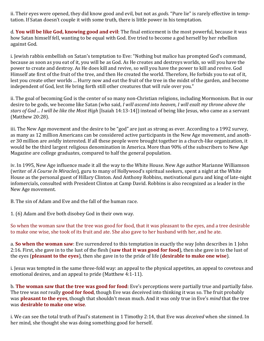ii. Their eyes were opened, they did know good and evil, but not as *gods*. "Pure lie" is rarely effective in temptation. If Satan doesn't couple it with some truth, there is little power in his temptation.

d. **You will be like God, knowing good and evil**: The final enticement is the most powerful, because it was how Satan himself fell, wanting to be equal with God. Eve tried to become a god herself by her rebellion against God.

i. Jewish rabbis embellish on Satan's temptation to Eve: "Nothing but malice has prompted God's command, because as soon as you eat of it, you will be as God. As He creates and destroys worlds, so will you have the power to create and destroy. As He does kill and revive, so will you have the power to kill and revive. God Himself ate first of the fruit of the tree, and then He created the world. Therefore, He forbids you to eat of it, lest you create other worlds ... Hurry now and eat the fruit of the tree in the midst of the garden, and become independent of God, lest He bring forth still other creatures that will rule over you."

ii. The goal of becoming God is the center of so many non-Christian religions, including Mormonism. But in our desire to be gods, we become like Satan (who said, *I will ascend into heaven, I will exalt my throne above the stars of God ... I will be like the Most High* [Isaiah 14:13-14]) instead of being like Jesus, who came as a servant (Matthew 20:28).

iii. The New Age movement and the desire to be "god" are just as strong as ever. According to a 1992 survey, as many as 12 million Americans can be considered active participants in the New Age movement, and another 30 million are avidly interested. If all these people were brought together in a church-like organization, it would be the third largest religious denomination in America. More than 90% of the subscribers to New Age Magazine are college graduates, compared to half the general population.

iv. In 1995, New Age influence made it all the way to the White House. New Age author Marianne Williamson (writer of *A Course In Miracles*), guru to many of Hollywood's spiritual seekers, spent a night at the White House as the personal guest of Hillary Clinton. And Anthony Robbins, motivational guru and king of late-night infomercials, consulted with President Clinton at Camp David. Robbins is also recognized as a leader in the New Age movement.

B. The sin of Adam and Eve and the fall of the human race.

1. (6) Adam and Eve both disobey God in their own way.

So when the woman saw that the tree was good for food, that it was pleasant to the eyes, and a tree desirable to make one wise, she took of its fruit and ate. She also gave to her husband with her, and he ate.

a. **So when the woman saw**: Eve surrendered to this temptation in exactly the way John describes in 1 John 2:16. First, she gave in to the lust of the flesh (**saw that it was good for food**), then she gave in to the lust of the eyes (**pleasant to the eyes**), then she gave in to the pride of life (**desirable to make one wise**).

i. Jesus was tempted in the same three-fold way: an appeal to the physical appetites, an appeal to covetous and emotional desires, and an appeal to pride (Matthew 4:1-11).

b. **The woman saw that the tree was good for food**: Eve's perceptions were partially true and partially false. The tree was *not* really **good for food**, though Eve was deceived into thinking it was so. The fruit probably was **pleasant to the eyes**, though that shouldn't mean much. And it was only true in Eve's *mind* that the tree was **desirable to make one wise**.

i. We can see the total truth of Paul's statement in 1 Timothy 2:14, that Eve was *deceived* when she sinned. In her mind, she thought she was doing something good for herself.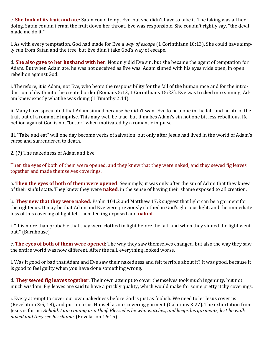c. **She took of its fruit and ate**: Satan could tempt Eve, but she didn't have to take it. The taking was all her doing. Satan couldn't cram the fruit down her throat. Eve was responsible. She couldn't rightly say, "the devil made me do it."

i. As with every temptation, God had made for Eve a *way of escape* (1 Corinthians 10:13). She could have simply run from Satan and the tree, but Eve didn't take God's way of escape.

d. **She also gave to her husband with her**: Not only did Eve sin, but she became the agent of temptation for Adam. But when Adam ate, he was not deceived as Eve was. Adam sinned with his eyes wide open, in open rebellion against God.

i. Therefore, it is Adam, not Eve, who bears the responsibility for the fall of the human race and for the introduction of death into the created order (Romans 5:12, 1 Corinthians 15:22). Eve was tricked into sinning; Adam knew exactly what he was doing (1 Timothy 2:14).

ii. Many have speculated that Adam sinned because he didn't want Eve to be alone in the fall, and he ate of the fruit out of a romantic impulse. This may well be true, but it makes Adam's sin not one bit less rebellious. Rebellion against God is not "better" when motivated by a romantic impulse.

iii. "Take and eat" will one day become verbs of salvation, but only after Jesus had lived in the world of Adam's curse and surrendered to death.

2. (7) The nakedness of Adam and Eve.

Then the eyes of both of them were opened, and they knew that they were naked; and they sewed fig leaves together and made themselves coverings.

a. **Then the eyes of both of them were opened**: Seemingly, it was only after the sin of Adam that they knew of their sinful state. They knew they were **naked**, in the sense of having their shame exposed to all creation.

b. **They new that they were naked**: Psalm 104:2 and Matthew 17:2 suggest that light can be a garment for the righteous. It may be that Adam and Eve were previously clothed in God's glorious light, and the immediate loss of this covering of light left them feeling exposed and **naked**.

i. "It is more than probable that they were clothed in light before the fall, and when they sinned the light went out." (Barnhouse)

c. **The eyes of both of them were opened**: The way they saw themselves changed, but also the way they saw the entire world was now different. After the fall, everything looked worse.

i. Was it good or bad that Adam and Eve saw their nakedness and felt terrible about it? It was good, because it is good to feel guilty when you have done something wrong.

d. **They sewed fig leaves together**: Their own attempt to cover themselves took much ingenuity, but not much wisdom. Fig leaves are said to have a prickly quality, which would make for some pretty itchy coverings.

i. Every attempt to cover our own nakedness before God is just as foolish. We need to let Jesus cover us (Revelation 3:5, 18), and put on Jesus Himself as our covering garment (Galatians 3:27). The exhortation from Jesus is for us: *Behold, I am coming as a thief. Blessed is he who watches, and keeps his garments, lest he walk naked and they see his shame.* (Revelation 16:15)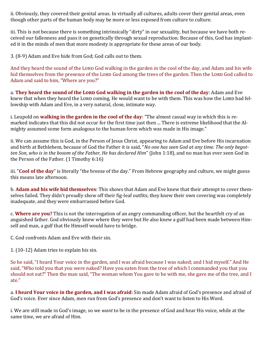ii. Obviously, they covered their genital areas. In virtually all cultures, adults cover their genital areas, even though other parts of the human body may be more or less exposed from culture to culture.

iii. This is not because there is something intrinsically "dirty" in our sexuality, but because we have both received our fallenness and pass it on genetically through sexual reproduction. Because of this, God has implanted it in the minds of men that more modesty is appropriate for these areas of our body.

3. (8-9) Adam and Eve hide from God; God calls out to them.

And they heard the sound of the Lorp God walking in the garden in the cool of the day, and Adam and his wife hid themselves from the presence of the Lorp God among the trees of the garden. Then the Lorp God called to Adam and said to him, "Where are you?"

a. **They heard the sound of the LORD God walking in the garden in the cool of the day**: Adam and Eve knew that when they heard the LORD coming, He would want to be with them. This was how the LORD had fellowship with Adam and Eve, in a very natural, close, intimate way.

i. Leupold on **walking in the garden in the cool of the day**: "The almost casual way in which this is remarked indicates that this did not occur for the first time just then ... There is extreme likelihood that the Almighty assumed some form analogous to the human form which was made in His image."

ii. We can assume this is God, in the Person of Jesus Christ, appearing to Adam and Eve before His incarnation and birth at Bethlehem, because of God the Father it is said, "*No one has seen God at any time. The only begotten Son, who is in the bosom of the Father, He has declared Him*" (John 1:18), and no man has ever seen God in the Person of the Father. (1 Timothy 6:16)

iii. "**Cool of the day**" is literally "the breeze of the day." From Hebrew geography and culture, we might guess this means late afternoon.

b. **Adam and his wife hid themselves**: This shows that Adam and Eve knew that their attempt to cover themselves failed. They didn't proudly show off their fig-leaf outfits; they knew their own covering was completely inadequate, and they were embarrassed before God.

c. **Where are you?** This is not the interrogation of an angry commanding officer, but the heartfelt cry of an anguished father. God obviously knew where they were but He also knew a gulf had been made between Himself and man, a gulf that He Himself would have to bridge.

C. God confronts Adam and Eve with their sin.

1. (10-12) Adam tries to explain his sin.

So he said, "I heard Your voice in the garden, and I was afraid because I was naked; and I hid myself." And He said, "Who told you that you were naked? Have you eaten from the tree of which I commanded you that you should not eat?" Then the man said, "The woman whom You gave to be with me, she gave me of the tree, and I ate."

a. **I heard Your voice in the garden, and I was afraid**: Sin made Adam afraid of God's presence and afraid of God's voice. Ever since Adam, men run from God's presence and don't want to listen to His Word.

i. We are still made in God's image, so we *want* to be in the presence of God and hear His voice, while at the same time, we are afraid of Him.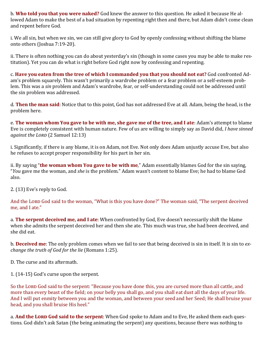b. **Who told you that you were naked?** God knew the answer to this question. He asked it because He allowed Adam to make the best of a bad situation by repenting right then and there, but Adam didn't come clean and repent before God.

i. We all sin, but when we sin, we can still give glory to God by openly confessing without shifting the blame onto others (Joshua 7:19-20).

ii. There is often nothing you can do about yesterday's sin (though in some cases you may be able to make restitution). Yet you can do what is right before God right now by confessing and repenting.

c. **Have you eaten from the tree of which I commanded you that you should not eat?** God confronted Adam's problem squarely. This wasn't primarily a wardrobe problem or a fear problem or a self-esteem problem. This was a *sin* problem and Adam's wardrobe, fear, or self-understanding could not be addressed until the sin problem was addressed.

d. **Then the man said**: Notice that to this point, God has not addressed Eve at all. Adam, being the head, is the problem here.

e. **The woman whom You gave to be with me, she gave me of the tree, and I ate**: Adam's attempt to blame Eve is completely consistent with human nature. Few of us are willing to simply say as David did, *I have sinned against the Lord* (2 Samuel 12:13)

i. Significantly, if there is any blame, it is on Adam, not Eve. Not only does Adam unjustly accuse Eve, but also he refuses to accept proper responsibility for his part in her sin.

ii. By saying "**the woman whom You gave to be with me**," Adam essentially blames God for the sin saying, "*You* gave me the woman, and *she* is the problem." Adam wasn't content to blame Eve; he had to blame God also.

2. (13) Eve's reply to God.

And the Lorp God said to the woman, "What is this you have done?" The woman said, "The serpent deceived me, and I ate."

a. **The serpent deceived me, and I ate**: When confronted by God, Eve doesn't necessarily shift the blame when she admits the serpent deceived her and then she ate. This much was true, she had been deceived, and she did eat.

b. **Deceived me**: The only problem comes when we fail to see that being deceived is sin in itself. It is sin to *exchange the truth of God for the lie* (Romans 1:25).

D. The curse and its aftermath.

1. (14-15) God's curse upon the serpent.

So the Lord God said to the serpent: "Because you have done this, you are cursed more than all cattle, and more than every beast of the field; on your belly you shall go, and you shall eat dust all the days of your life. And I will put enmity between you and the woman, and between your seed and her Seed; He shall bruise your head, and you shall bruise His heel."

a. And the LORD God said to the serpent: When God spoke to Adam and to Eve, He asked them each questions. God didn't ask Satan (the being animating the serpent) any questions, because there was nothing to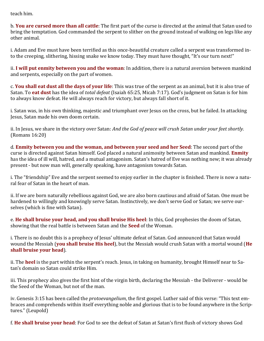teach him.

b. **You are cursed more than all cattle**: The first part of the curse is directed at the animal that Satan used to bring the temptation. God commanded the serpent to slither on the ground instead of walking on legs like any other animal.

i. Adam and Eve must have been terrified as this once-beautiful creature called a serpent was transformed into the creeping, slithering, hissing snake we know today. They must have thought, "It's our turn next!"

ii. **I will put enmity between you and the woman**: In addition, there is a natural aversion between mankind and serpents, especially on the part of women.

c. **You shall eat dust all the days of your life**: This was true of the serpent as an animal, but it is also true of Satan. To **eat dust** has the idea of *total defeat* (Isaiah 65:25, Micah 7:17). God's judgment on Satan is for him to always know defeat. He will always reach for victory, but always fall short of it.

i. Satan was, in his own thinking, majestic and triumphant over Jesus on the cross, but he failed. In attacking Jesus, Satan made his own doom certain.

ii. In Jesus, we share in the victory over Satan: *And the God of peace will crush Satan under your feet shortly.* (Romans 16:20)

d. **Enmity between you and the woman, and between your seed and her Seed**: The second part of the curse is directed against Satan himself. God placed a natural animosity between Satan and mankind. **Enmity** has the idea of ill will, hatred, and a mutual antagonism. Satan's hatred of Eve was nothing new; it was already present - but now man will, generally speaking, have antagonism towards Satan.

i. The "friendship" Eve and the serpent seemed to enjoy earlier in the chapter is finished. There is now a natural fear of Satan in the heart of man.

ii. If we are born naturally rebellious against God, we are also born cautious and afraid of Satan. One must be hardened to willingly and knowingly serve Satan. Instinctively, we don't serve God or Satan; we serve ourselves (which is fine with Satan).

e. **He shall bruise your head, and you shall bruise His heel**: In this, God prophesies the doom of Satan, showing that the real battle is between Satan and the **Seed** of the Woman.

i. There is no doubt this is a prophecy of Jesus' ultimate defeat of Satan. God announced that Satan would wound the Messiah (**you shall bruise His heel**), but the Messiah would crush Satan with a mortal wound (**He shall bruise your head**).

ii. The **heel** is the part within the serpent's reach. Jesus, in taking on humanity, brought Himself near to Satan's domain so Satan could strike Him.

iii. This prophecy also gives the first hint of the virgin birth, declaring the Messiah - the Deliverer - would be the Seed of the Woman, but not of the man.

iv. Genesis 3:15 has been called the *protoevangelium*, the first gospel. Luther said of this verse: "This text embraces and comprehends within itself everything noble and glorious that is to be found anywhere in the Scriptures." (Leupold)

f. **He shall bruise your head**: For God to see the defeat of Satan at Satan's first flush of victory shows God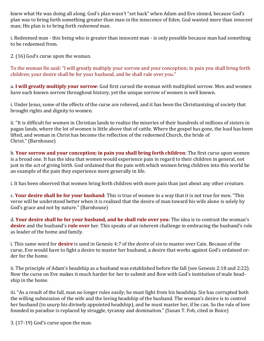knew what He was doing all along. God's plan wasn't "set back" when Adam and Eve sinned, because God's plan was to bring forth something greater than man in the innocence of Eden. God wanted more than *innocent* man; His plan is to bring forth *redeemed* man.

i. Redeemed man - this being who is greater than innocent man - is only possible because man had something to be redeemed from.

2. (16) God's curse upon the woman.

To the woman He said: "I will greatly multiply your sorrow and your conception; in pain you shall bring forth children; your desire shall be for your husband, and he shall rule over you."

a. **I will greatly multiply your sorrow**: God first cursed the woman with multiplied sorrow. Men and women have each known sorrow throughout history, yet the unique sorrow of women is well known.

i. Under Jesus, some of the effects of the curse are relieved, and it has been the Christianizing of society that brought rights and dignity to women.

ii. "It is difficult for women in Christian lands to realize the miseries of their hundreds of millions of sisters in pagan lands, where the lot of women is little above that of cattle. Where the gospel has gone, the load has been lifted, and woman in Christ has become the reflection of the redeemed Church, the bride of Christ." (Barnhouse)

b. **Your sorrow and your conception; in pain you shall bring forth children**: The first curse upon women is a broad one. It has the idea that women would experience pain in regard to their children in general, not just in the act of giving birth. God ordained that the pain with which women bring children into this world be an example of the pain they experience more generally in life.

i. It has been observed that women bring forth children with more pain than just about any other creature.

c. **Your desire shall be for your husband**: This is true of women in a way that it is not true for men. "This verse will be understood better when it is realized that the desire of man toward his wife alone is solely by God's grace and not by nature." (Barnhouse)

d. **Your desire shall be for your husband, and he shall rule over you**: The idea is to contrast the woman's **desire** and the husband's **rule over** her. This speaks of an inherent challenge in embracing the husband's role as leader of the home and family.

i. This same word for **desire** is used in Genesis 4:7 of the *desire* of sin to master over Cain. Because of the curse, Eve would have to fight a desire to master her husband, a desire that works against God's ordained order for the home.

ii. The principle of Adam's headship as a husband was established before the fall (see Genesis 2:18 and 2:22). Now the curse on Eve makes it much harder for her to submit and flow with God's institution of male headship in the home.

iii. "As a result of the fall, man no longer rules easily; he must fight from his headship. Sin has corrupted both the willing submission of the wife and the loving headship of the husband. The woman's desire is to control her husband (to usurp his divinely appointed headship), and he must master her, if he can. So the rule of love founded in paradise is replaced by struggle, tyranny and domination." (Susan T. Foh, cited in Boice)

3. (17-19) God's curse upon the man.